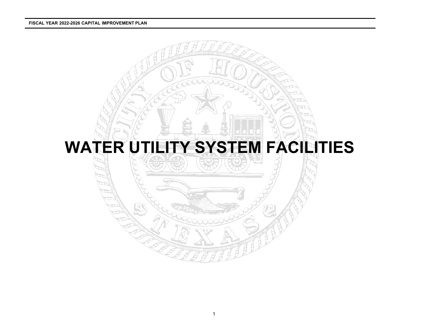#### **FISCAL YEAR 2022-2026 CAPITAL IMPROVEMENT PLAN**

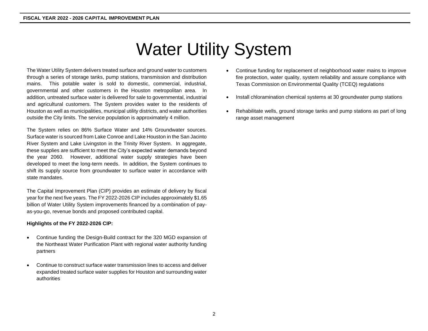# Water Utility System

The Water Utility System delivers treated surface and ground water to customers through a series of storage tanks, pump stations, transmission and distribution mains. This potable water is sold to domestic, commercial, industrial, governmental and other customers in the Houston metropolitan area. In addition, untreated surface water is delivered for sale to governmental, industrial and agricultural customers. The System provides water to the residents of Houston as well as municipalities, municipal utility districts, and water authorities outside the City limits. The service population is approximately 4 million.

The System relies on 86% Surface Water and 14% Groundwater sources. Surface water is sourced from Lake Conroe and Lake Houston in the San Jacinto River System and Lake Livingston in the Trinity River System. In aggregate, these supplies are sufficient to meet the City's expected water demands beyond the year 2060. However, additional water supply strategies have been developed to meet the long-term needs. In addition, the System continues to shift its supply source from groundwater to surface water in accordance with state mandates.

The Capital Improvement Plan (CIP) provides an estimate of delivery by fiscal year for the next five years. The FY 2022-2026 CIP includes approximately \$1.65 billion of Water Utility System improvements financed by a combination of payas-you-go, revenue bonds and proposed contributed capital.

#### **Highlights of the FY 2022-2026 CIP:**

- Continue funding the Design-Build contract for the 320 MGD expansion of the Northeast Water Purification Plant with regional water authority funding partners
- Continue to construct surface water transmission lines to access and deliver expanded treated surface water supplies for Houston and surrounding water authorities
- Continue funding for replacement of neighborhood water mains to improve fire protection, water quality, system reliability and assure compliance with Texas Commission on Environmental Quality (TCEQ) regulations
- Install chloramination chemical systems at 30 groundwater pump stations
- Rehabilitate wells, ground storage tanks and pump stations as part of long range asset management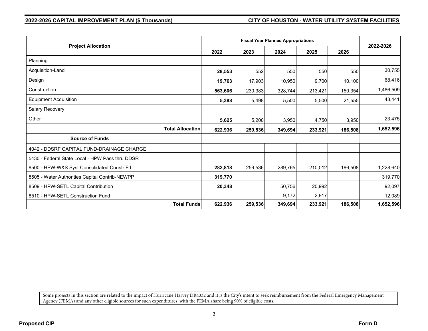| <b>Project Allocation</b>                       |                                    | <b>Fiscal Year Planned Appropriations</b> |         |         |         |           |  |  |
|-------------------------------------------------|------------------------------------|-------------------------------------------|---------|---------|---------|-----------|--|--|
|                                                 |                                    | 2023                                      | 2024    | 2025    | 2026    | 2022-2026 |  |  |
| Planning                                        |                                    |                                           |         |         |         |           |  |  |
| Acquisition-Land                                | 28,553                             | 552                                       | 550     | 550     | 550     | 30,755    |  |  |
| Design                                          | 19,763                             | 17,903                                    | 10,950  | 9,700   | 10,100  | 68,416    |  |  |
| Construction                                    | 563,606                            | 230,383                                   | 328,744 | 213,421 | 150,354 | 1,486,509 |  |  |
| <b>Equipment Acquisition</b>                    | 5,388                              | 5,498                                     | 5,500   | 5,500   | 21,555  | 43,441    |  |  |
| Salary Recovery                                 |                                    |                                           |         |         |         |           |  |  |
| Other                                           | 5,625                              | 5,200                                     | 3,950   | 4,750   | 3,950   | 23,475    |  |  |
|                                                 | <b>Total Allocation</b><br>622,936 | 259,536                                   | 349,694 | 233,921 | 186,508 | 1,652,596 |  |  |
| <b>Source of Funds</b>                          |                                    |                                           |         |         |         |           |  |  |
| 4042 - DDSRF CAPITAL FUND-DRAINAGE CHARGE       |                                    |                                           |         |         |         |           |  |  |
| 5430 - Federal State Local - HPW Pass thru DDSR |                                    |                                           |         |         |         |           |  |  |
| 8500 - HPW-W&S Syst Consolidated Constr Fd      | 282,818                            | 259,536                                   | 289,765 | 210,012 | 186,508 | 1,228,640 |  |  |
| 8505 - Water Authorities Capital Contrib-NEWPP  | 319,770                            |                                           |         |         |         | 319,770   |  |  |
| 8509 - HPW-SETL Capital Contribution            | 20,348                             |                                           | 50,756  | 20,992  |         | 92,097    |  |  |
| 8510 - HPW-SETL Construction Fund               |                                    |                                           | 9,172   | 2,917   |         | 12,089    |  |  |
|                                                 | <b>Total Funds</b><br>622,936      | 259,536                                   | 349,694 | 233,921 | 186,508 | 1,652,596 |  |  |

Some projects in this section are related to the impact of Hurricane Harvey DR4332 and it is the City's intent to seek reimbursement from the Federal Emergency Management Agency (FEMA) and any other eligible sources for such expenditures, with the FEMA share being 90% of eligible costs.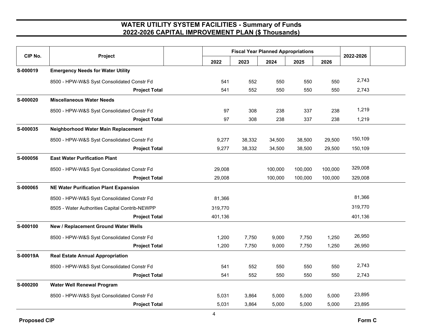| CIP No.  | Project                                        |         | <b>Fiscal Year Planned Appropriations</b> | 2022-2026 |         |         |         |  |
|----------|------------------------------------------------|---------|-------------------------------------------|-----------|---------|---------|---------|--|
|          |                                                | 2022    | 2023                                      | 2024      | 2025    | 2026    |         |  |
| S-000019 | <b>Emergency Needs for Water Utility</b>       |         |                                           |           |         |         |         |  |
|          | 8500 - HPW-W&S Syst Consolidated Constr Fd     | 541     | 552                                       | 550       | 550     | 550     | 2,743   |  |
|          | <b>Project Total</b>                           | 541     | 552                                       | 550       | 550     | 550     | 2,743   |  |
| S-000020 | <b>Miscellaneous Water Needs</b>               |         |                                           |           |         |         |         |  |
|          | 8500 - HPW-W&S Syst Consolidated Constr Fd     | 97      | 308                                       | 238       | 337     | 238     | 1,219   |  |
|          | <b>Project Total</b>                           | 97      | 308                                       | 238       | 337     | 238     | 1,219   |  |
| S-000035 | Neighborhood Water Main Replacement            |         |                                           |           |         |         |         |  |
|          | 8500 - HPW-W&S Syst Consolidated Constr Fd     | 9,277   | 38,332                                    | 34,500    | 38,500  | 29,500  | 150,109 |  |
|          | <b>Project Total</b>                           | 9,277   | 38,332                                    | 34,500    | 38,500  | 29,500  | 150,109 |  |
| S-000056 | <b>East Water Purification Plant</b>           |         |                                           |           |         |         |         |  |
|          | 8500 - HPW-W&S Syst Consolidated Constr Fd     | 29,008  |                                           | 100,000   | 100,000 | 100,000 | 329,008 |  |
|          | <b>Project Total</b>                           | 29,008  |                                           | 100,000   | 100,000 | 100,000 | 329,008 |  |
| S-000065 | <b>NE Water Purification Plant Expansion</b>   |         |                                           |           |         |         |         |  |
|          | 8500 - HPW-W&S Syst Consolidated Constr Fd     | 81,366  |                                           |           |         |         | 81,366  |  |
|          | 8505 - Water Authorities Capital Contrib-NEWPP | 319,770 |                                           |           |         |         | 319,770 |  |
|          | <b>Project Total</b>                           | 401,136 |                                           |           |         |         | 401,136 |  |
| S-000100 | New / Replacement Ground Water Wells           |         |                                           |           |         |         |         |  |
|          | 8500 - HPW-W&S Syst Consolidated Constr Fd     | 1,200   | 7,750                                     | 9,000     | 7,750   | 1,250   | 26,950  |  |
|          | <b>Project Total</b>                           | 1,200   | 7,750                                     | 9,000     | 7,750   | 1,250   | 26,950  |  |
| S-00019A | <b>Real Estate Annual Appropriation</b>        |         |                                           |           |         |         |         |  |
|          | 8500 - HPW-W&S Syst Consolidated Constr Fd     | 541     | 552                                       | 550       | 550     | 550     | 2,743   |  |
|          | <b>Project Total</b>                           | 541     | 552                                       | 550       | 550     | 550     | 2,743   |  |
| S-000200 | <b>Water Well Renewal Program</b>              |         |                                           |           |         |         |         |  |
|          | 8500 - HPW-W&S Syst Consolidated Constr Fd     | 5,031   | 3,864                                     | 5,000     | 5,000   | 5,000   | 23,895  |  |
|          | <b>Project Total</b>                           | 5,031   | 3,864                                     | 5,000     | 5,000   | 5,000   | 23,895  |  |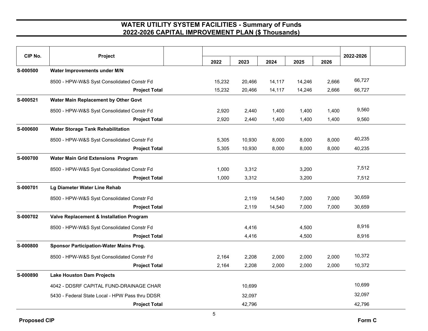| CIP No.  | Project                                         | 2022   | 2023   | 2024   | 2025   | 2026  | 2022-2026 |
|----------|-------------------------------------------------|--------|--------|--------|--------|-------|-----------|
| S-000500 | Water Improvements under M/N                    |        |        |        |        |       |           |
|          | 8500 - HPW-W&S Syst Consolidated Constr Fd      | 15,232 | 20,466 | 14,117 | 14,246 | 2,666 | 66,727    |
|          | <b>Project Total</b>                            | 15,232 | 20,466 | 14,117 | 14,246 | 2,666 | 66,727    |
| S-000521 | Water Main Replacement by Other Govt            |        |        |        |        |       |           |
|          | 8500 - HPW-W&S Syst Consolidated Constr Fd      | 2,920  | 2,440  | 1,400  | 1,400  | 1,400 | 9,560     |
|          | <b>Project Total</b>                            | 2,920  | 2,440  | 1,400  | 1,400  | 1,400 | 9,560     |
| S-000600 | <b>Water Storage Tank Rehabilitation</b>        |        |        |        |        |       |           |
|          | 8500 - HPW-W&S Syst Consolidated Constr Fd      | 5,305  | 10,930 | 8,000  | 8,000  | 8,000 | 40,235    |
|          | <b>Project Total</b>                            | 5,305  | 10,930 | 8,000  | 8,000  | 8,000 | 40,235    |
| S-000700 | <b>Water Main Grid Extensions Program</b>       |        |        |        |        |       |           |
|          | 8500 - HPW-W&S Syst Consolidated Constr Fd      | 1,000  | 3,312  |        | 3,200  |       | 7,512     |
|          | <b>Project Total</b>                            | 1,000  | 3,312  |        | 3,200  |       | 7,512     |
| S-000701 | Lg Diameter Water Line Rehab                    |        |        |        |        |       |           |
|          | 8500 - HPW-W&S Syst Consolidated Constr Fd      |        | 2,119  | 14,540 | 7,000  | 7,000 | 30,659    |
|          | <b>Project Total</b>                            |        | 2,119  | 14,540 | 7,000  | 7,000 | 30,659    |
| S-000702 | Valve Replacement & Installation Program        |        |        |        |        |       |           |
|          | 8500 - HPW-W&S Syst Consolidated Constr Fd      |        | 4,416  |        | 4,500  |       | 8,916     |
|          | <b>Project Total</b>                            |        | 4,416  |        | 4,500  |       | 8,916     |
| S-000800 | <b>Sponsor Participation-Water Mains Prog.</b>  |        |        |        |        |       |           |
|          | 8500 - HPW-W&S Syst Consolidated Constr Fd      | 2,164  | 2,208  | 2,000  | 2,000  | 2,000 | 10,372    |
|          | <b>Project Total</b>                            | 2,164  | 2,208  | 2,000  | 2,000  | 2,000 | 10,372    |
| S-000890 | <b>Lake Houston Dam Projects</b>                |        |        |        |        |       |           |
|          | 4042 - DDSRF CAPITAL FUND-DRAINAGE CHAR         |        | 10,699 |        |        |       | 10,699    |
|          | 5430 - Federal State Local - HPW Pass thru DDSR |        | 32,097 |        |        |       | 32,097    |
|          | <b>Project Total</b>                            |        | 42,796 |        |        |       | 42,796    |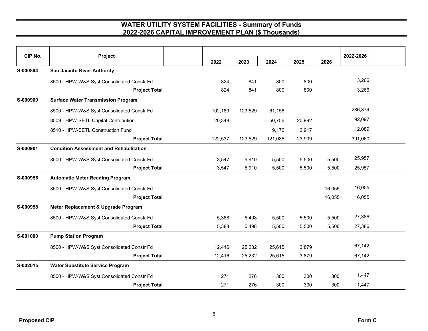| CIP No.  | Project                                        |         |         |         |        |        |           |  |
|----------|------------------------------------------------|---------|---------|---------|--------|--------|-----------|--|
|          |                                                | 2022    | 2023    | 2024    | 2025   | 2026   | 2022-2026 |  |
| S-000894 | <b>San Jacinto River Authority</b>             |         |         |         |        |        |           |  |
|          | 8500 - HPW-W&S Syst Consolidated Constr Fd     | 824     | 841     | 800     | 800    |        | 3,266     |  |
|          | <b>Project Total</b>                           | 824     | 841     | 800     | 800    |        | 3,266     |  |
| S-000900 | <b>Surface Water Transmission Program</b>      |         |         |         |        |        |           |  |
|          | 8500 - HPW-W&S Syst Consolidated Constr Fd     | 102,189 | 123,529 | 61,156  |        |        | 286,874   |  |
|          | 8509 - HPW-SETL Capital Contribution           | 20,348  |         | 50,756  | 20,992 |        | 92,097    |  |
|          | 8510 - HPW-SETL Construction Fund              |         |         | 9,172   | 2,917  |        | 12,089    |  |
|          | <b>Project Total</b>                           | 122,537 | 123,529 | 121,085 | 23,909 |        | 391,060   |  |
| S-000901 | <b>Condition Assessment and Rehabilitation</b> |         |         |         |        |        |           |  |
|          | 8500 - HPW-W&S Syst Consolidated Constr Fd     | 3,547   | 5,910   | 5,500   | 5,500  | 5,500  | 25,957    |  |
|          | <b>Project Total</b>                           | 3,547   | 5,910   | 5,500   | 5,500  | 5,500  | 25,957    |  |
| S-000956 | <b>Automatic Meter Reading Program</b>         |         |         |         |        |        |           |  |
|          | 8500 - HPW-W&S Syst Consolidated Constr Fd     |         |         |         |        | 16,055 | 16,055    |  |
|          | <b>Project Total</b>                           |         |         |         |        | 16,055 | 16,055    |  |
| S-000958 | Meter Replacement & Upgrade Program            |         |         |         |        |        |           |  |
|          | 8500 - HPW-W&S Syst Consolidated Constr Fd     | 5,388   | 5,498   | 5,500   | 5,500  | 5,500  | 27,386    |  |
|          | <b>Project Total</b>                           | 5,388   | 5,498   | 5,500   | 5,500  | 5,500  | 27,386    |  |
| S-001000 | <b>Pump Station Program</b>                    |         |         |         |        |        |           |  |
|          | 8500 - HPW-W&S Syst Consolidated Constr Fd     | 12,416  | 25,232  | 25,615  | 3,879  |        | 67,142    |  |
|          | <b>Project Total</b>                           | 12,416  | 25,232  | 25,615  | 3,879  |        | 67,142    |  |
| S-002015 | <b>Water Substitute Service Program</b>        |         |         |         |        |        |           |  |
|          | 8500 - HPW-W&S Syst Consolidated Constr Fd     | 271     | 276     | 300     | 300    | 300    | 1,447     |  |
|          | <b>Project Total</b>                           | 271     | 276     | 300     | 300    | 300    | 1,447     |  |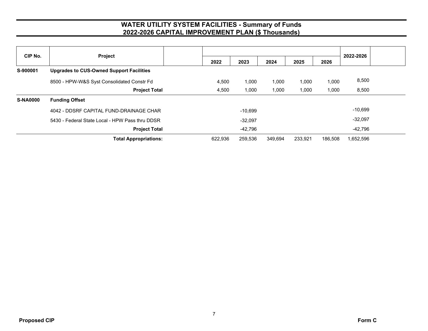| CIP No.         | Project                                         |         |           | 2022-2026 |         |         |           |  |
|-----------------|-------------------------------------------------|---------|-----------|-----------|---------|---------|-----------|--|
|                 |                                                 | 2022    | 2023      | 2024      | 2025    | 2026    |           |  |
| S-900001        | <b>Upgrades to CUS-Owned Support Facilities</b> |         |           |           |         |         |           |  |
|                 | 8500 - HPW-W&S Syst Consolidated Constr Fd      | 4,500   | 1,000     | 1,000     | 1,000   | 1,000   | 8,500     |  |
|                 | <b>Project Total</b>                            | 4,500   | 1,000     | 1,000     | 1,000   | 1,000   | 8,500     |  |
| <b>S-NA0000</b> | <b>Funding Offset</b>                           |         |           |           |         |         |           |  |
|                 | 4042 - DDSRF CAPITAL FUND-DRAINAGE CHAR         |         | $-10,699$ |           |         |         | $-10,699$ |  |
|                 | 5430 - Federal State Local - HPW Pass thru DDSR |         | $-32.097$ |           |         |         | $-32,097$ |  |
|                 | <b>Project Total</b>                            |         | $-42,796$ |           |         |         | -42,796   |  |
|                 | <b>Total Appropriations:</b>                    | 622,936 | 259,536   | 349,694   | 233,921 | 186,508 | 1.652.596 |  |